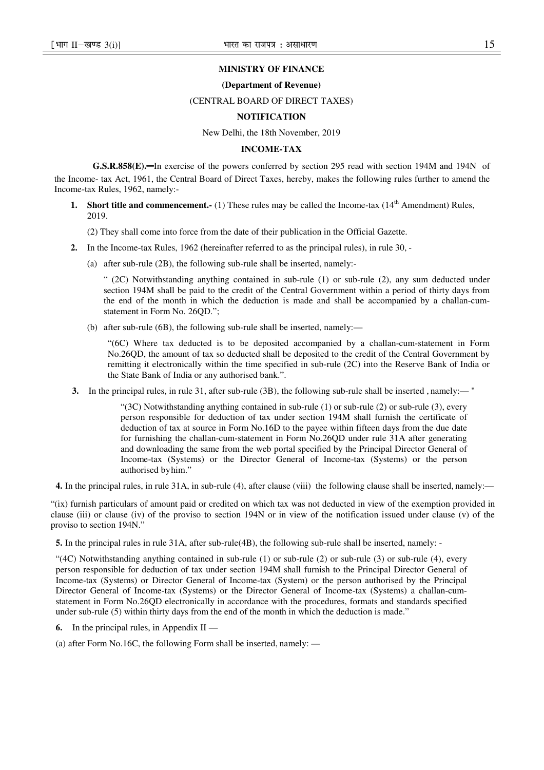## **MINISTRY OF FINANCE**

#### **(Department of Revenue)**

#### (CENTRAL BOARD OF DIRECT TAXES)

## **NOTIFICATION**

New Delhi, the 18th November, 2019

#### **INCOME-TAX**

**G.S.R.858(E).**—In exercise of the powers conferred by section 295 read with section 194M and 194N of the Income- tax Act, 1961, the Central Board of Direct Taxes, hereby, makes the following rules further to amend the Income-tax Rules, 1962, namely:-

**1. Short title and commencement.-** (1) These rules may be called the Income-tax (14<sup>th</sup> Amendment) Rules, 2019.

(2) They shall come into force from the date of their publication in the Official Gazette.

- **2.** In the Income-tax Rules, 1962 (hereinafter referred to as the principal rules), in rule 30,
	- (a) after sub-rule (2B), the following sub-rule shall be inserted, namely:-

" (2C) Notwithstanding anything contained in sub-rule (1) or sub-rule (2), any sum deducted under section 194M shall be paid to the credit of the Central Government within a period of thirty days from the end of the month in which the deduction is made and shall be accompanied by a challan-cumstatement in Form No. 26OD.":

(b) after sub-rule (6B), the following sub-rule shall be inserted, namely:—

"(6C) Where tax deducted is to be deposited accompanied by a challan-cum-statement in Form No.26QD, the amount of tax so deducted shall be deposited to the credit of the Central Government by remitting it electronically within the time specified in sub-rule (2C) into the Reserve Bank of India or the State Bank of India or any authorised bank.".

**3.** In the principal rules, in rule 31, after sub-rule (3B), the following sub-rule shall be inserted , namely:— "

"(3C) Notwithstanding anything contained in sub-rule (1) or sub-rule (2) or sub-rule (3), every person responsible for deduction of tax under section 194M shall furnish the certificate of deduction of tax at source in Form No.16D to the payee within fifteen days from the due date for furnishing the challan-cum-statement in Form No.26QD under rule 31A after generating and downloading the same from the web portal specified by the Principal Director General of Income-tax (Systems) or the Director General of Income-tax (Systems) or the person authorised by him."

**4.** In the principal rules, in rule 31A, in sub-rule (4), after clause (viii) the following clause shall be inserted, namely:—

"(ix) furnish particulars of amount paid or credited on which tax was not deducted in view of the exemption provided in clause (iii) or clause (iv) of the proviso to section 194N or in view of the notification issued under clause (v) of the proviso to section 194N."

**5.** In the principal rules in rule 31A, after sub-rule(4B), the following sub-rule shall be inserted, namely: -

"(4C) Notwithstanding anything contained in sub-rule (1) or sub-rule (2) or sub-rule (3) or sub-rule (4), every person responsible for deduction of tax under section 194M shall furnish to the Principal Director General of Income-tax (Systems) or Director General of Income-tax (System) or the person authorised by the Principal Director General of Income-tax (Systems) or the Director General of Income-tax (Systems) a challan-cumstatement in Form No.26QD electronically in accordance with the procedures, formats and standards specified under sub-rule (5) within thirty days from the end of the month in which the deduction is made."

- **6.** In the principal rules, in Appendix II —
- (a) after Form No.16C, the following Form shall be inserted, namely: —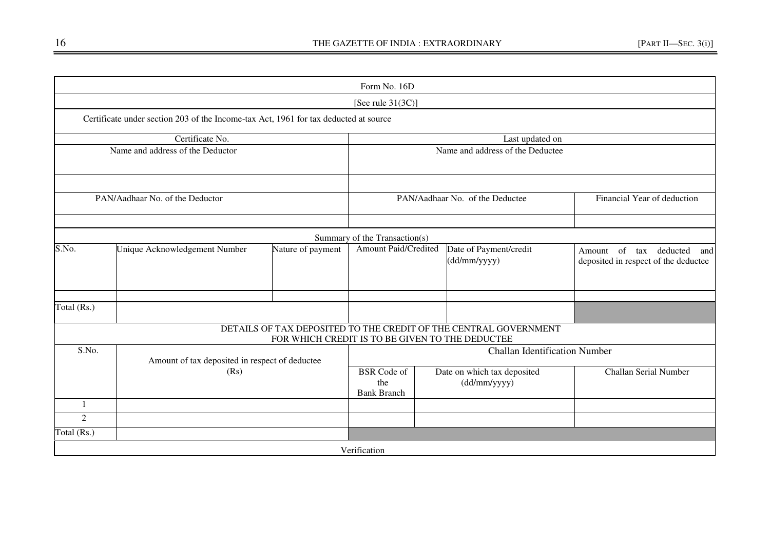|                |                                                                                      |                                                 | Form No. 16D                                                     |  |                                                                       |                             |  |  |
|----------------|--------------------------------------------------------------------------------------|-------------------------------------------------|------------------------------------------------------------------|--|-----------------------------------------------------------------------|-----------------------------|--|--|
|                |                                                                                      |                                                 | [See rule $31(3C)$ ]                                             |  |                                                                       |                             |  |  |
|                | Certificate under section 203 of the Income-tax Act, 1961 for tax deducted at source |                                                 |                                                                  |  |                                                                       |                             |  |  |
|                | Certificate No.                                                                      |                                                 |                                                                  |  | Last updated on                                                       |                             |  |  |
|                | Name and address of the Deductor                                                     |                                                 |                                                                  |  | Name and address of the Deductee                                      |                             |  |  |
|                |                                                                                      |                                                 |                                                                  |  |                                                                       |                             |  |  |
|                | PAN/Aadhaar No. of the Deductor                                                      |                                                 |                                                                  |  | PAN/Aadhaar No. of the Deductee                                       | Financial Year of deduction |  |  |
|                |                                                                                      |                                                 |                                                                  |  |                                                                       |                             |  |  |
|                |                                                                                      |                                                 | Summary of the Transaction(s)                                    |  |                                                                       |                             |  |  |
| S.No.          | Unique Acknowledgement Number                                                        | Nature of payment                               | Amount Paid/Credited                                             |  | Amount of tax deducted<br>and<br>deposited in respect of the deductee |                             |  |  |
| Total (Rs.)    |                                                                                      |                                                 |                                                                  |  |                                                                       |                             |  |  |
|                |                                                                                      |                                                 | DETAILS OF TAX DEPOSITED TO THE CREDIT OF THE CENTRAL GOVERNMENT |  |                                                                       |                             |  |  |
|                |                                                                                      | FOR WHICH CREDIT IS TO BE GIVEN TO THE DEDUCTEE |                                                                  |  |                                                                       |                             |  |  |
| S.No.          | Amount of tax deposited in respect of deductee                                       |                                                 |                                                                  |  | <b>Challan Identification Number</b>                                  |                             |  |  |
|                | (Rs)                                                                                 |                                                 | <b>BSR</b> Code of<br>the<br><b>Bank Branch</b>                  |  | Date on which tax deposited<br>$(dd/\nmu\prime$ yyyy $)$              | Challan Serial Number       |  |  |
| 1              |                                                                                      |                                                 |                                                                  |  |                                                                       |                             |  |  |
| $\overline{2}$ |                                                                                      |                                                 |                                                                  |  |                                                                       |                             |  |  |
| Total (Rs.)    |                                                                                      |                                                 |                                                                  |  |                                                                       |                             |  |  |
|                |                                                                                      |                                                 | Verification                                                     |  |                                                                       |                             |  |  |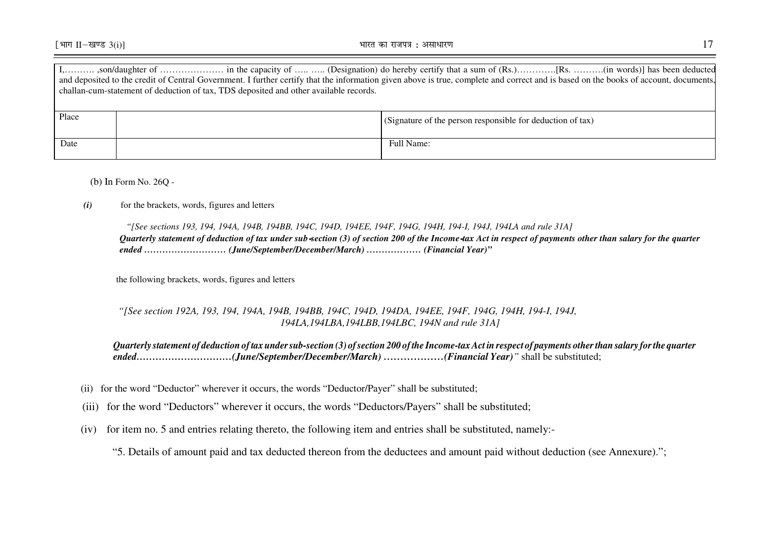|       | challan-cum-statement of deduction of tax, TDS deposited and other available records. | and deposited to the credit of Central Government. I further certify that the information given above is true, complete and correct and is based on the books of account, documents, |
|-------|---------------------------------------------------------------------------------------|--------------------------------------------------------------------------------------------------------------------------------------------------------------------------------------|
| Place |                                                                                       | (Signature of the person responsible for deduction of tax)                                                                                                                           |
| Date  |                                                                                       | Full Name:                                                                                                                                                                           |

(b) In Form No. 26Q -

#### *(i)*for the brackets, words, figures and letters

*"[See sections 193, 194, 194A, 194B, 194BB, 194C, 194D, 194EE, 194F, 194G, 194H, 194-I, 194J, 194LA and rule 31A] Quarterly statement of deduction of tax under sub-section (3) of section 200 of the Income-tax Act in respect of payments other than salary for the quarter ended ……………………… (June/September/December/March) ……………… (Financial Year)"*

the following brackets, words, figures and letters

## *"[See section 192A, 193, 194, 194A, 194B, 194BB, 194C, 194D, 194DA, 194EE, 194F, 194G, 194H, 194-I, 194J, 194LA,194LBA,194LBB,194LBC, 194N and rule 31A]*

*Quarterly statement of deduction of tax under sub-section (3) of section 200 of the Income-tax Act in respect of payments other than salary for the quarter ended…………………………(June/September/December/March) ………………(Financial Year)"* shall be substituted;

- (ii) for the word "Deductor" wherever it occurs, the words "Deductor/Payer" shall be substituted;
- (iii) for the word "Deductors" wherever it occurs, the words "Deductors/Payers" shall be substituted;
	- $(iv)$ for item no. 5 and entries relating thereto, the following item and entries shall be substituted, namely:-

"5. Details of amount paid and tax deducted thereon from the deductees and amount paid without deduction (see Annexure).";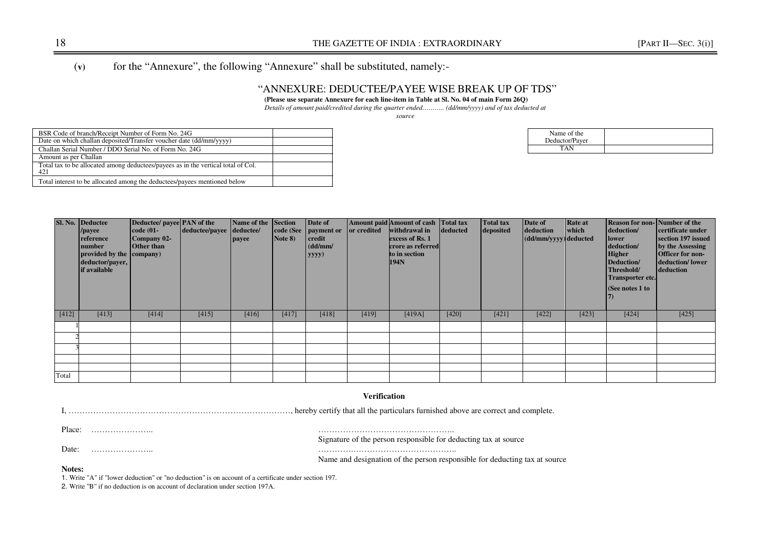# (**v)** for the "Annexure", the following "Annexure" shall be substituted, namely:-

## "ANNEXURE: DEDUCTEE/PAYEE WISE BREAK UP OF TDS"

#### **(Please use separate Annexure for each line-item in Table at Sl. No. 04 of main Form 26Q)**

*Details of amount paid/credited during the quarter ended……….. (dd/mm/yyyy) and of tax deducted at* 

*source* 

| BSR Code of branch/Receipt Number of Form No. 24G                                        |  |
|------------------------------------------------------------------------------------------|--|
| Date on which challan deposited/Transfer voucher date (dd/mm/yyyy)                       |  |
| Challan Serial Number / DDO Serial No. of Form No. 24G                                   |  |
| Amount as per Challan                                                                    |  |
| Total tax to be allocated among deductees/payees as in the vertical total of Col.<br>421 |  |
| Total interest to be allocated among the deductees/payees mentioned below                |  |

| Name of the    |  |
|----------------|--|
| Deductor/Paver |  |
| T A N          |  |
|                |  |

|       | Sl. No. Deductee<br>/payee<br>reference<br>number<br>provided by the company)<br>deductor/payer,<br>if available | Deductee/ payee PAN of the<br>$code(01-)$<br>Company 02-<br><b>Other than</b> | deductee/payee deductee/ | Name of the Section<br>payee | Note 8) | Date of<br>code (See   payment or   or credited<br>credit<br>(dd/mm/<br>yyyy) | Amount paid Amount of cash Total tax | withdrawal in<br>deducted<br>excess of Rs. 1<br>crore as referred<br>to in section<br>194N |       | <b>Total tax</b><br>deposited | Date of<br>deduction<br>$\vert$ (dd/mm/yyyy) deducted | <b>Rate at</b><br>which | <b>Reason for non-Number of the</b><br>deduction/<br>lower<br>deduction/<br><b>Higher</b><br>Deduction/<br>Threshold/<br><b>Transporter etc.</b><br>(See notes 1 to | certificate under<br>section 197 issued<br>by the Assessing<br><b>Officer for non-</b><br>deduction/lower<br>deduction |
|-------|------------------------------------------------------------------------------------------------------------------|-------------------------------------------------------------------------------|--------------------------|------------------------------|---------|-------------------------------------------------------------------------------|--------------------------------------|--------------------------------------------------------------------------------------------|-------|-------------------------------|-------------------------------------------------------|-------------------------|---------------------------------------------------------------------------------------------------------------------------------------------------------------------|------------------------------------------------------------------------------------------------------------------------|
| [412] | [413]                                                                                                            | [414]                                                                         | [415]                    | [416]                        | [417]   | [418]                                                                         | [419]                                | [419A]                                                                                     | [420] | [421]                         | [422]                                                 | [423]                   | [424]                                                                                                                                                               | [425]                                                                                                                  |
|       |                                                                                                                  |                                                                               |                          |                              |         |                                                                               |                                      |                                                                                            |       |                               |                                                       |                         |                                                                                                                                                                     |                                                                                                                        |
|       |                                                                                                                  |                                                                               |                          |                              |         |                                                                               |                                      |                                                                                            |       |                               |                                                       |                         |                                                                                                                                                                     |                                                                                                                        |
|       |                                                                                                                  |                                                                               |                          |                              |         |                                                                               |                                      |                                                                                            |       |                               |                                                       |                         |                                                                                                                                                                     |                                                                                                                        |
|       |                                                                                                                  |                                                                               |                          |                              |         |                                                                               |                                      |                                                                                            |       |                               |                                                       |                         |                                                                                                                                                                     |                                                                                                                        |
|       |                                                                                                                  |                                                                               |                          |                              |         |                                                                               |                                      |                                                                                            |       |                               |                                                       |                         |                                                                                                                                                                     |                                                                                                                        |
| Total |                                                                                                                  |                                                                               |                          |                              |         |                                                                               |                                      |                                                                                            |       |                               |                                                       |                         |                                                                                                                                                                     |                                                                                                                        |

#### **Verification**

I, ………………………………………………………………………, hereby certify that all the particulars furnished above are correct and complete.

Place: ………………….. …………………………………………..

Date: ………………….. ………….………………………………..

Signature of the person responsible for deducting tax at source

Name and designation of the person responsible for deducting tax at source

#### **Notes:**

1. Write "A" if "lower deduction" or "no deduction" is on account of a certificate under section 197.

2. Write "B" if no deduction is on account of declaration under section 197A.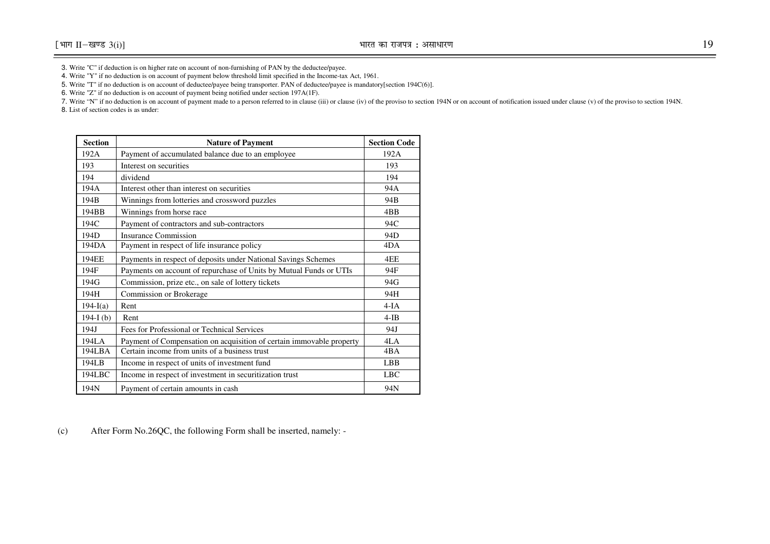3. Write "C" if deduction is on higher rate on account of non-furnishing of PAN by the deductee/payee.

4. Write "Y" if no deduction is on account of payment below threshold limit specified in the Income-tax Act, 1961.

5. Write "T" if no deduction is on account of deductee/payee being transporter. PAN of deductee/payee is mandatory[section 194C(6)].

6. Write "Z" if no deduction is on account of payment being notified under section 197A(1F).

7. Write "N" if no deduction is on account of payment made to a person referred to in clause (iii) or clause (iv) of the proviso to section 194N or on account of notification issued under clause (v) of the proviso to secti

8. List of section codes is as under:

| <b>Section</b> | <b>Nature of Payment</b>                                             | <b>Section Code</b> |
|----------------|----------------------------------------------------------------------|---------------------|
| 192A           | Payment of accumulated balance due to an employee                    | 192A                |
| 193            | Interest on securities                                               | 193                 |
| 194            | dividend                                                             | 194                 |
| 194A           | Interest other than interest on securities                           | 94A                 |
| 194B           | Winnings from lotteries and crossword puzzles                        | 94 <sub>B</sub>     |
| 194BB          | Winnings from horse race                                             | 4BB                 |
| 194C           | Payment of contractors and sub-contractors                           | 94C                 |
| 194D           | Insurance Commission                                                 | 94D                 |
| 194DA          | Payment in respect of life insurance policy                          | 4DA                 |
| 194EE          | Payments in respect of deposits under National Savings Schemes       | 4EE                 |
| 194F           | Payments on account of repurchase of Units by Mutual Funds or UTIs   | 94F                 |
| 194G           | Commission, prize etc., on sale of lottery tickets                   | 94G                 |
| 194H           | Commission or Brokerage                                              | 94H                 |
| $194 - I(a)$   | Rent                                                                 | $4-IA$              |
| 194-I $(b)$    | Rent                                                                 | $4-IB$              |
| 194J           | Fees for Professional or Technical Services                          | 94J                 |
| 194LA          | Payment of Compensation on acquisition of certain immovable property | 4LA                 |
| 194LBA         | Certain income from units of a business trust                        | 4BA                 |
| 194LB          | Income in respect of units of investment fund                        | <b>LBB</b>          |
| 194LBC         | Income in respect of investment in securitization trust              | <b>LBC</b>          |
| 194N           | Payment of certain amounts in cash                                   | 94N                 |

(c)After Form No.26QC, the following Form shall be inserted, namely: -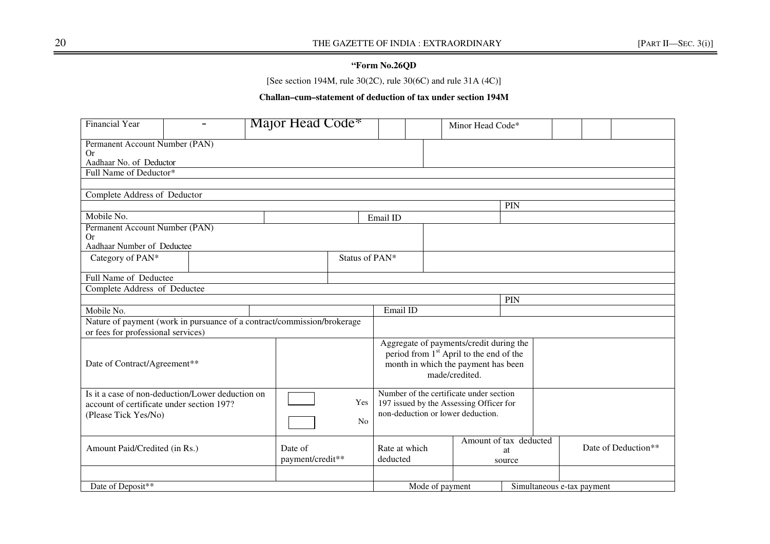## **"Form No.26QD**

[See section 194M, rule  $30(2C)$ , rule  $30(6C)$  and rule  $31A(4C)$ ]

## **Challan–cum–statement of deduction of tax under section 194M**

| <b>Financial Year</b>                                                                                                 |                                                                         | Major Head Code <sup>*</sup>                  |                       |                | Minor Head Code*                                                                                                        |                                                                                                                                                         |  |                     |  |  |
|-----------------------------------------------------------------------------------------------------------------------|-------------------------------------------------------------------------|-----------------------------------------------|-----------------------|----------------|-------------------------------------------------------------------------------------------------------------------------|---------------------------------------------------------------------------------------------------------------------------------------------------------|--|---------------------|--|--|
| Permanent Account Number (PAN)<br><b>Or</b><br>Aadhaar No. of Deductor                                                |                                                                         |                                               |                       |                |                                                                                                                         |                                                                                                                                                         |  |                     |  |  |
| Full Name of Deductor*                                                                                                |                                                                         |                                               |                       |                |                                                                                                                         |                                                                                                                                                         |  |                     |  |  |
|                                                                                                                       |                                                                         |                                               |                       |                |                                                                                                                         |                                                                                                                                                         |  |                     |  |  |
| Complete Address of Deductor                                                                                          |                                                                         |                                               |                       |                |                                                                                                                         |                                                                                                                                                         |  |                     |  |  |
|                                                                                                                       |                                                                         |                                               |                       |                |                                                                                                                         | PIN                                                                                                                                                     |  |                     |  |  |
| Mobile No.                                                                                                            |                                                                         |                                               |                       | Email ID       |                                                                                                                         |                                                                                                                                                         |  |                     |  |  |
| Permanent Account Number (PAN)<br><b>Or</b><br>Aadhaar Number of Deductee                                             |                                                                         |                                               |                       |                |                                                                                                                         |                                                                                                                                                         |  |                     |  |  |
| Category of PAN*                                                                                                      |                                                                         |                                               |                       | Status of PAN* |                                                                                                                         |                                                                                                                                                         |  |                     |  |  |
| Full Name of Deductee                                                                                                 |                                                                         |                                               |                       |                |                                                                                                                         |                                                                                                                                                         |  |                     |  |  |
| Complete Address of Deductee                                                                                          |                                                                         |                                               |                       |                |                                                                                                                         |                                                                                                                                                         |  |                     |  |  |
|                                                                                                                       |                                                                         |                                               |                       |                |                                                                                                                         | PIN                                                                                                                                                     |  |                     |  |  |
| Mobile No.                                                                                                            |                                                                         |                                               |                       | Email ID       |                                                                                                                         |                                                                                                                                                         |  |                     |  |  |
|                                                                                                                       | Nature of payment (work in pursuance of a contract/commission/brokerage |                                               |                       |                |                                                                                                                         |                                                                                                                                                         |  |                     |  |  |
| or fees for professional services)                                                                                    |                                                                         |                                               |                       |                |                                                                                                                         |                                                                                                                                                         |  |                     |  |  |
|                                                                                                                       | Date of Contract/Agreement**                                            |                                               |                       |                |                                                                                                                         | Aggregate of payments/credit during the<br>period from 1 <sup>st</sup> April to the end of the<br>month in which the payment has been<br>made/credited. |  |                     |  |  |
| Is it a case of non-deduction/Lower deduction on<br>account of certificate under section 197?<br>(Please Tick Yes/No) |                                                                         |                                               | Yes<br>N <sub>0</sub> |                | Number of the certificate under section<br>197 issued by the Assessing Officer for<br>non-deduction or lower deduction. |                                                                                                                                                         |  |                     |  |  |
| Amount Paid/Credited (in Rs.)<br>Date of<br>payment/credit**                                                          |                                                                         |                                               |                       | deducted       | Amount of tax deducted<br>Rate at which<br>at<br>source                                                                 |                                                                                                                                                         |  | Date of Deduction** |  |  |
|                                                                                                                       |                                                                         |                                               |                       |                |                                                                                                                         |                                                                                                                                                         |  |                     |  |  |
| Date of Deposit**                                                                                                     |                                                                         | Mode of payment<br>Simultaneous e-tax payment |                       |                |                                                                                                                         |                                                                                                                                                         |  |                     |  |  |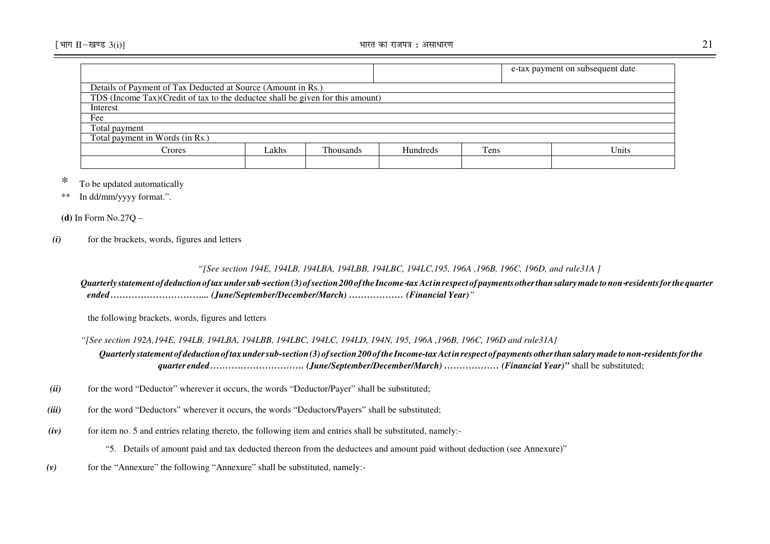|                                                                                |       |                  |          |      | e-tax payment on subsequent date |  |  |  |  |  |
|--------------------------------------------------------------------------------|-------|------------------|----------|------|----------------------------------|--|--|--|--|--|
| Details of Payment of Tax Deducted at Source (Amount in Rs.)                   |       |                  |          |      |                                  |  |  |  |  |  |
| TDS (Income Tax)(Credit of tax to the deductee shall be given for this amount) |       |                  |          |      |                                  |  |  |  |  |  |
| Interest                                                                       |       |                  |          |      |                                  |  |  |  |  |  |
| Fee                                                                            |       |                  |          |      |                                  |  |  |  |  |  |
| Total payment                                                                  |       |                  |          |      |                                  |  |  |  |  |  |
| Total payment in Words (in Rs.)                                                |       |                  |          |      |                                  |  |  |  |  |  |
| Crores                                                                         | Lakhs | <b>Thousands</b> | Hundreds | Tens | Units                            |  |  |  |  |  |
|                                                                                |       |                  |          |      |                                  |  |  |  |  |  |

# \* To be updated automatically

\*\* In dd/mm/yyyy format.".

**(d)** In Form No.27Q –

#### *(i)*for the brackets, words, figures and letters

## *"[See section 194E, 194LB, 194LBA, 194LBB, 194LBC, 194LC,195, 196A ,196B, 196C, 196D, and rule31A ]*

## *Quarterly statement of deduction of tax under sub* section (3) of section 200 of the Income tax Act in respect of payments other than salary made to non-residents for the quarter *ended …………………………... (June/September/December/March) ……………… (Financial Year)"*

the following brackets, words, figures and letters

*"[See section 192A,194E, 194LB, 194LBA, 194LBB, 194LBC, 194LC, 194LD, 194N, 195, 196A ,196B, 196C, 196D and rule31A]* 

*Quarterly statement of deduction of tax under sub-section (3) of section 200 of the Income-tax Act in respect of payments other than salary made to non-residents for the quarter ended …………………………. (June/September/December/March) ……………… (Financial Year)"* shall be substituted;

- *(ii)*for the word "Deductor" wherever it occurs, the words "Deductor/Payer" shall be substituted;
- *(iii)*for the word "Deductors" wherever it occurs, the words "Deductors/Payers" shall be substituted;
- *(iv)*for item no. 5 and entries relating thereto, the following item and entries shall be substituted, namely:-

"5. Details of amount paid and tax deducted thereon from the deductees and amount paid without deduction (see Annexure)"

*(v)*for the "Annexure" the following "Annexure" shall be substituted, namely:-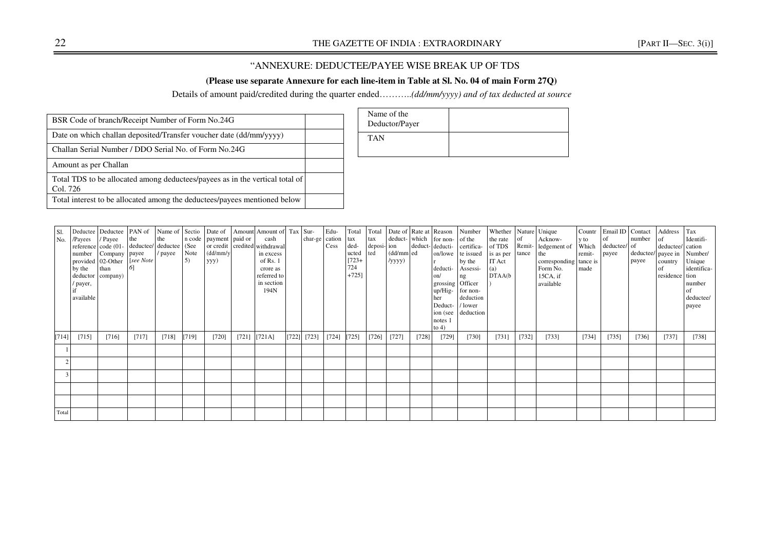## "ANNEXURE: DEDUCTEE/PAYEE WISE BREAK UP OF TDS

## **(Please use separate Annexure for each line-item in Table at Sl. No. 04 of main Form 27Q)**

Details of amount paid/credited during the quarter ended………..*(dd/mm/yyyy) and of tax deducted at source* 

| BSR Code of branch/Receipt Number of Form No.24G                                         |  |
|------------------------------------------------------------------------------------------|--|
| Date on which challan deposited/Transfer voucher date (dd/mm/yyyy)                       |  |
| Challan Serial Number / DDO Serial No. of Form No.24G                                    |  |
| Amount as per Challan                                                                    |  |
| Total TDS to be allocated among deductees/payees as in the vertical total of<br>Col. 726 |  |
| Total interest to be allocated among the deductees/payees mentioned below                |  |

| Name of the<br>Deductor/Payer |  |
|-------------------------------|--|
| <b>TAN</b>                    |  |

| <b>S1.</b><br>No. | /Payees<br>by the<br>/ payer,<br>available | / Payee<br>reference code (01- deductee/ deductee (See<br>number Company payee<br>provided 02-Other<br>than<br>deductor company) | the<br>[see Note]<br>$6\overline{)}$ | the<br>/ payee | Note<br>$\vert 5$ | n code   payment   paid or<br>(dd/mm/y<br>yyy) |       | Deductee Deductee PAN of Name of Sectio Date of Amount Amount of Tax Sur-<br>cash<br>or credit credited withdrawal<br>in excess<br>of Rs. 1<br>crore as<br>referred to<br>in section<br>194N | char-ge cation  | Edu-<br>Cess        | Total<br>tax<br>ded-<br>ucted<br>$[723+$<br>724<br>$+725$ ] | Total<br>tax<br>deposi- ion<br>ted | (dd/mm ed<br>/yyyy) |       | deduct- which for non- of the<br>deduct-deducti-<br>deducti-<br>on/<br>grossing Officer<br>up/Hig-<br>her<br>Deduct-<br>ion (see<br>notes 1<br>to $4)$ | Date of Rate at Reason Number<br>certifica-<br>on/lowe te issued<br>by the<br>Assessi-<br>ng<br>for non-<br>deduction<br>/ lower<br>deduction | Whether<br>the rate<br>of TDS<br>is as per<br>IT Act<br>(a)<br>DTAA(b) | Remit-<br>tance | Nature Unique<br>Acknow-<br>ledgement of<br>the<br>corresponding tance is<br>Form No.<br>15CA, if<br>available | y to<br>Which<br>remit-<br>made | Countr Email ID Contact<br>of<br>deductee/ of<br>payee | number<br>payee | Address<br>$\circ$ f<br>deductee/ cation<br>deductee/ payee in Number/<br>country<br>of<br>residence tion | Tax<br>Identifi-<br>Unique<br>identifica-<br>number<br>of<br>deductee/<br>payee |
|-------------------|--------------------------------------------|----------------------------------------------------------------------------------------------------------------------------------|--------------------------------------|----------------|-------------------|------------------------------------------------|-------|----------------------------------------------------------------------------------------------------------------------------------------------------------------------------------------------|-----------------|---------------------|-------------------------------------------------------------|------------------------------------|---------------------|-------|--------------------------------------------------------------------------------------------------------------------------------------------------------|-----------------------------------------------------------------------------------------------------------------------------------------------|------------------------------------------------------------------------|-----------------|----------------------------------------------------------------------------------------------------------------|---------------------------------|--------------------------------------------------------|-----------------|-----------------------------------------------------------------------------------------------------------|---------------------------------------------------------------------------------|
| [714]             | [715]                                      | [716]                                                                                                                            | [717]                                | [718]          | [719]             | [720]                                          | [721] | $[721A]$                                                                                                                                                                                     | $[722]$ $[723]$ | $[724] \quad [725]$ |                                                             | [726]                              | [727]               | [728] | $[729]$                                                                                                                                                | $[730]$                                                                                                                                       | [731]                                                                  | [732]           | [733]                                                                                                          | [734]                           | [735]                                                  | [736]           | [737]                                                                                                     | [738]                                                                           |
|                   |                                            |                                                                                                                                  |                                      |                |                   |                                                |       |                                                                                                                                                                                              |                 |                     |                                                             |                                    |                     |       |                                                                                                                                                        |                                                                                                                                               |                                                                        |                 |                                                                                                                |                                 |                                                        |                 |                                                                                                           |                                                                                 |
|                   |                                            |                                                                                                                                  |                                      |                |                   |                                                |       |                                                                                                                                                                                              |                 |                     |                                                             |                                    |                     |       |                                                                                                                                                        |                                                                                                                                               |                                                                        |                 |                                                                                                                |                                 |                                                        |                 |                                                                                                           |                                                                                 |
|                   |                                            |                                                                                                                                  |                                      |                |                   |                                                |       |                                                                                                                                                                                              |                 |                     |                                                             |                                    |                     |       |                                                                                                                                                        |                                                                                                                                               |                                                                        |                 |                                                                                                                |                                 |                                                        |                 |                                                                                                           |                                                                                 |
|                   |                                            |                                                                                                                                  |                                      |                |                   |                                                |       |                                                                                                                                                                                              |                 |                     |                                                             |                                    |                     |       |                                                                                                                                                        |                                                                                                                                               |                                                                        |                 |                                                                                                                |                                 |                                                        |                 |                                                                                                           |                                                                                 |
|                   |                                            |                                                                                                                                  |                                      |                |                   |                                                |       |                                                                                                                                                                                              |                 |                     |                                                             |                                    |                     |       |                                                                                                                                                        |                                                                                                                                               |                                                                        |                 |                                                                                                                |                                 |                                                        |                 |                                                                                                           |                                                                                 |
| Total             |                                            |                                                                                                                                  |                                      |                |                   |                                                |       |                                                                                                                                                                                              |                 |                     |                                                             |                                    |                     |       |                                                                                                                                                        |                                                                                                                                               |                                                                        |                 |                                                                                                                |                                 |                                                        |                 |                                                                                                           |                                                                                 |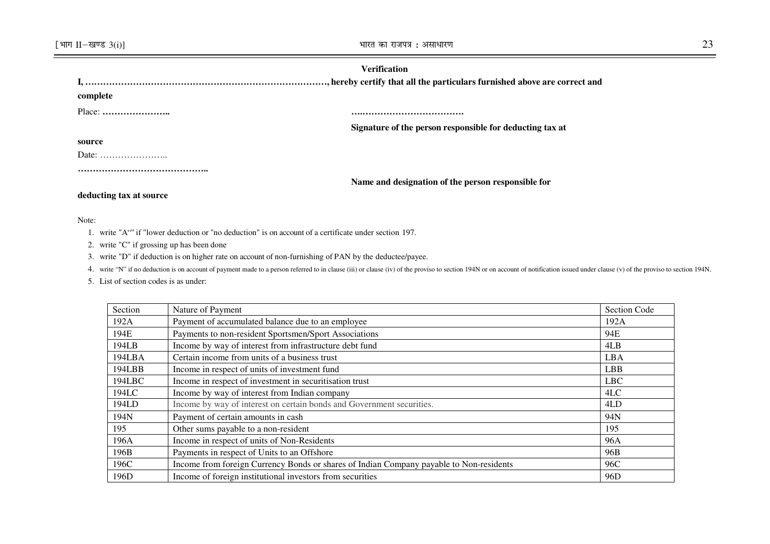## **Verification**

| complete                                           |                                                          |
|----------------------------------------------------|----------------------------------------------------------|
| $Place: \ldots \ldots \ldots \ldots \ldots \ldots$ |                                                          |
|                                                    | Signature of the person responsible for deducting tax at |
| source                                             |                                                          |
|                                                    |                                                          |
|                                                    |                                                          |
|                                                    | Name and designation of the person responsible for       |

## **deducting tax at source**

#### Note:

- 1. write "A"" if "lower deduction or "no deduction" is on account of a certificate under section 197.
- 2. write "C" if grossing up has been done
- 3. write "D" if deduction is on higher rate on account of non-furnishing of PAN by the deductee/payee.
- 4. write "N" if no deduction is on account of payment made to a person referred to in clause (iii) or clause (iv) of the proviso to section 194N or on account of notification issued under clause (v) of the proviso to secti
- 5. List of section codes is as under:

| Section | Nature of Payment                                                                       | <b>Section Code</b> |
|---------|-----------------------------------------------------------------------------------------|---------------------|
| 192A    | Payment of accumulated balance due to an employee                                       | 192A                |
| 194E    | Payments to non-resident Sportsmen/Sport Associations                                   | 94E                 |
| 194LB   | Income by way of interest from infrastructure debt fund                                 | 4LB                 |
| 194LBA  | Certain income from units of a business trust                                           | <b>LBA</b>          |
| 194LBB  | Income in respect of units of investment fund                                           | <b>LBB</b>          |
| 194LBC  | Income in respect of investment in securitisation trust                                 | LBC                 |
| 194LC   | Income by way of interest from Indian company                                           | 4LC                 |
| 194LD   | Income by way of interest on certain bonds and Government securities.                   | 4LD                 |
| 194N    | Payment of certain amounts in cash                                                      | 94N                 |
| 195     | Other sums payable to a non-resident                                                    | 195                 |
| 196A    | Income in respect of units of Non-Residents                                             | 96A                 |
| 196B    | Payments in respect of Units to an Offshore                                             | 96B                 |
| 196C    | Income from foreign Currency Bonds or shares of Indian Company payable to Non-residents | 96C                 |
| 196D    | Income of foreign institutional investors from securities                               | 96D                 |